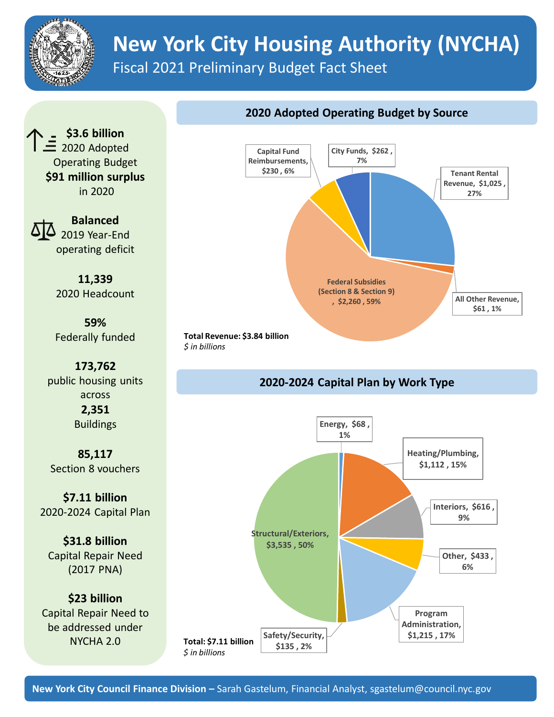

## **New York City Housing Authority (NYCHA)**

Fiscal 2021 Preliminary Budget Fact Sheet

**\$3.6 billion**  $\equiv$  2020 Adopted Operating Budget **\$91 million surplus** in 2020

> **Balanced**  2019 Year-End operating deficit

**11,339** 2020 Headcount

**59%**  Federally funded

**173,762** public housing units across **2,351 Buildings** 

**85,117** Section 8 vouchers

**\$7.11 billion** 2020-2024 Capital Plan

**\$31.8 billion** Capital Repair Need (2017 PNA)

**\$23 billion**  Capital Repair Need to be addressed under NYCHA 2.0



## **2020-2024 Capital Plan by Work Type**